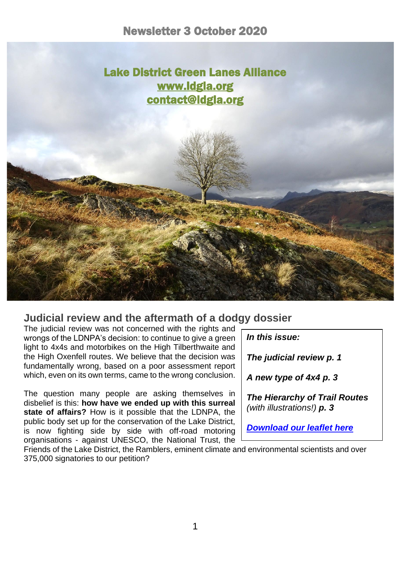

# **Judicial review and the aftermath of a dodgy dossier**

The judicial review was not concerned with the rights and wrongs of the LDNPA's decision: to continue to give a green light to 4x4s and motorbikes on the High Tilberthwaite and the High Oxenfell routes. We believe that the decision was fundamentally wrong, based on a poor assessment report which, even on its own terms, came to the wrong conclusion.

The question many people are asking themselves in disbelief is this: **how have we ended up with this surreal state of affairs?** How is it possible that the LDNPA, the public body set up for the conservation of the Lake District, is now fighting side by side with off-road motoring organisations - against UNESCO, the National Trust, the

*In this issue: The judicial review p. 1 A new type of 4x4 p. 3 The Hierarchy of Trail Routes (with illustrations!) p. 3 [Download our leaflet here](https://d93992ec-49a9-490d-8cd2-4c8f6682bde7.filesusr.com/ugd/269609_4dfa44ecc9c94858b47eb7b5075a5d50.pdf)*

Friends of the Lake District, the Ramblers, eminent climate and environmental scientists and over 375,000 signatories to our petition?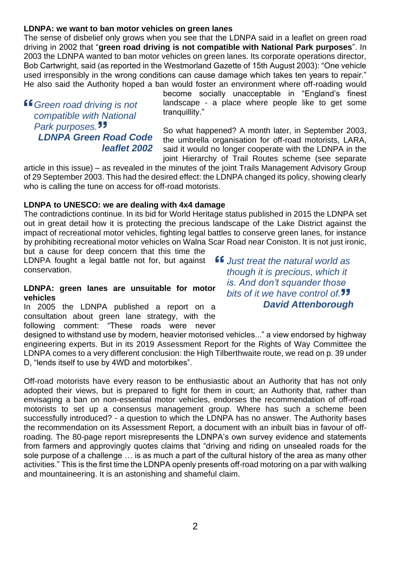# **LDNPA: we want to ban motor vehicles on green lanes**

The sense of disbelief only grows when you see that the LDNPA said in a leaflet on green road driving in 2002 that "**green road driving is not compatible with National Park purposes**". In 2003 the LDNPA wanted to ban motor vehicles on green lanes. Its corporate operations director, Bob Cartwright, said (as reported in the Westmorland Gazette of 15th August 2003): "One vehicle used irresponsibly in the wrong conditions can cause damage which takes ten years to repair." He also said the Authority hoped a ban would foster an environment where off-roading would

*Green road driving is not compatible with National Park purposes. LDNPA Green Road Code leaflet 2002* become socially unacceptable in "England's finest landscape - a place where people like to get some tranquillity."

So what happened? A month later, in September 2003, the umbrella organisation for off-road motorists, LARA, said it would no longer cooperate with the LDNPA in the joint Hierarchy of Trail Routes scheme (see separate

article in this issue) – as revealed in the minutes of the joint Trails Management Advisory Group of 29 September 2003. This had the desired effect: the LDNPA changed its policy, showing clearly who is calling the tune on access for off-road motorists.

## **LDNPA to UNESCO: we are dealing with 4x4 damage**

The contradictions continue. In its bid for World Heritage status published in 2015 the LDNPA set out in great detail how it is protecting the precious landscape of the Lake District against the impact of recreational motor vehicles, fighting legal battles to conserve green lanes, for instance by prohibiting recreational motor vehicles on Walna Scar Road near Coniston. It is not just ironic,

but a cause for deep concern that this time the LDNPA fought a legal battle not for, but against conservation.

#### **LDNPA: green lanes are unsuitable for motor vehicles**

In 2005 the LDNPA published a report on a consultation about green lane strategy, with the following comment: "These roads were never

designed to withstand use by modern, heavier motorised vehicles..." a view endorsed by highway engineering experts. But in its 2019 Assessment Report for the Rights of Way Committee the LDNPA comes to a very different conclusion: the High Tilberthwaite route, we read on p. 39 under D, "lends itself to use by 4WD and motorbikes".

Off-road motorists have every reason to be enthusiastic about an Authority that has not only adopted their views, but is prepared to fight for them in court; an Authority that, rather than envisaging a ban on non-essential motor vehicles, endorses the recommendation of off-road motorists to set up a consensus management group. Where has such a scheme been successfully introduced? - a question to which the LDNPA has no answer. The Authority bases the recommendation on its Assessment Report, a document with an inbuilt bias in favour of offroading. The 80-page report misrepresents the LDNPA's own survey evidence and statements from farmers and approvingly quotes claims that "driving and riding on unsealed roads for the sole purpose of a challenge … is as much a part of the cultural history of the area as many other activities." This is the first time the LDNPA openly presents off-road motoring on a par with walking and mountaineering. It is an astonishing and shameful claim.

*Just treat the natural world as though it is precious, which it is. And don't squander those bits of it we have control of. David Attenborough*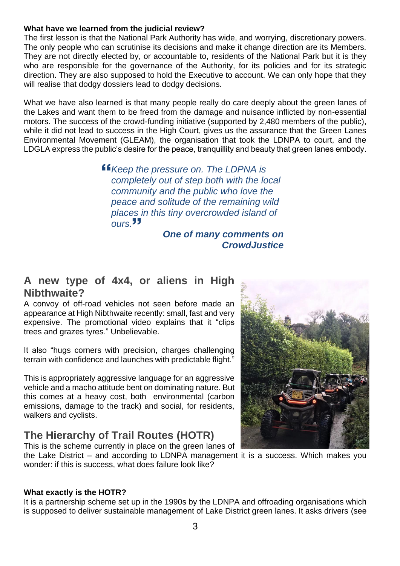### **What have we learned from the judicial review?**

The first lesson is that the National Park Authority has wide, and worrying, discretionary powers. The only people who can scrutinise its decisions and make it change direction are its Members. They are not directly elected by, or accountable to, residents of the National Park but it is they who are responsible for the governance of the Authority, for its policies and for its strategic direction. They are also supposed to hold the Executive to account. We can only hope that they will realise that dodgy dossiers lead to dodgy decisions.

What we have also learned is that many people really do care deeply about the green lanes of the Lakes and want them to be freed from the damage and nuisance inflicted by non-essential motors. The success of the crowd-funding initiative (supported by 2,480 members of the public), while it did not lead to success in the High Court, gives us the assurance that the Green Lanes Environmental Movement (GLEAM), the organisation that took the LDNPA to court, and the LDGLA express the public's desire for the peace, tranquillity and beauty that green lanes embody.

> *Keep the pressure on. The LDPNA is completely out of step both with the local community and the public who love the peace and solitude of the remaining wild places in this tiny overcrowded island of ours.*

> > *One of many comments on CrowdJustice*

# **A new type of 4x4, or aliens in High Nibthwaite?**

A convoy of off-road vehicles not seen before made an appearance at High Nibthwaite recently: small, fast and very expensive. The promotional video explains that it "clips trees and grazes tyres." Unbelievable.

It also "hugs corners with precision, charges challenging terrain with confidence and launches with predictable flight."

This is appropriately aggressive language for an aggressive vehicle and a macho attitude bent on dominating nature. But this comes at a heavy cost, both environmental (carbon emissions, damage to the track) and social, for residents, walkers and cyclists.

# **The Hierarchy of Trail Routes (HOTR)** This is the scheme currently in place on the green lanes of



the Lake District – and according to LDNPA management it is a success. Which makes you wonder: if this is success, what does failure look like?

#### **What exactly is the HOTR?**

It is a partnership scheme set up in the 1990s by the LDNPA and offroading organisations which is supposed to deliver sustainable management of Lake District green lanes. It asks drivers (see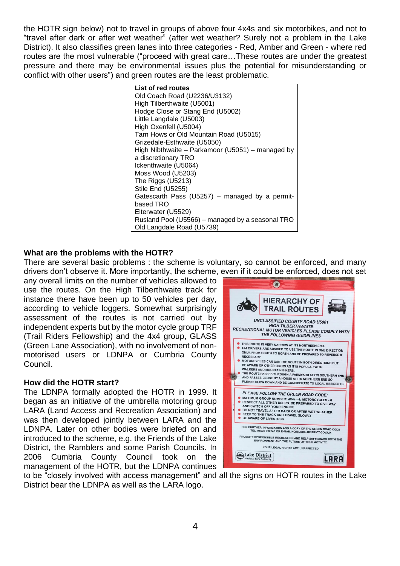the HOTR sign below) not to travel in groups of above four 4x4s and six motorbikes, and not to "travel after dark or after wet weather" (after wet weather? Surely not a problem in the Lake District). It also classifies green lanes into three categories - Red, Amber and Green - where red routes are the most vulnerable ("proceed with great care…These routes are under the greatest pressure and there may be environmental issues plus the potential for misunderstanding or conflict with other users") and green routes are the least problematic.



## **What are the problems with the HOTR?**

There are several basic problems : the scheme is voluntary, so cannot be enforced, and many drivers don't observe it. More importantly, the scheme, even if it could be enforced, does not set

any overall limits on the number of vehicles allowed to use the routes. On the High Tilberthwaite track for instance there have been up to 50 vehicles per day, according to vehicle loggers. Somewhat surprisingly assessment of the routes is not carried out by independent experts but by the motor cycle group TRF (Trail Riders Fellowship) and the 4x4 group, GLASS (Green Lane Association), with no involvement of nonmotorised users or LDNPA or Cumbria County Council.

#### **How did the HOTR start?**

The LDNPA formally adopted the HOTR in 1999. It began as an initiative of the umbrella motoring group LARA (Land Access and Recreation Association) and was then developed jointly between LARA and the LDNPA. Later on other bodies were briefed on and introduced to the scheme, e.g. the Friends of the Lake District, the Ramblers and some Parish Councils. In 2006 Cumbria County Council took on the management of the HOTR, but the LDNPA continues



to be "closely involved with access management" and all the signs on HOTR routes in the Lake District bear the LDNPA as well as the LARA logo.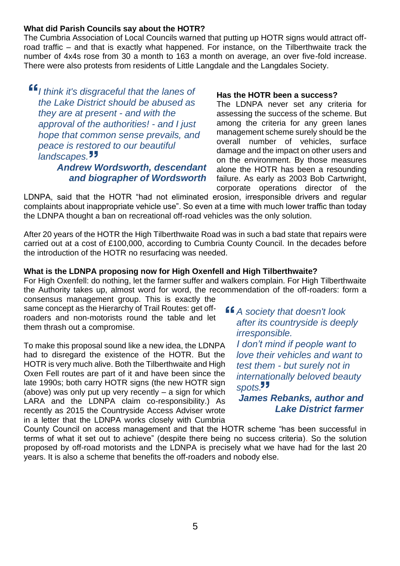#### **What did Parish Councils say about the HOTR?**

The Cumbria Association of Local Councils warned that putting up HOTR signs would attract offroad traffic – and that is exactly what happened. For instance, on the Tilberthwaite track the number of 4x4s rose from 30 a month to 163 a month on average, an over five-fold increase. There were also protests from residents of Little Langdale and the Langdales Society.

*I think it's disgraceful that the lanes of the Lake District should be abused as they are at present - and with the approval of the authorities! - and I just hope that common sense prevails, and peace is restored to our beautiful landscapes.*

# *Andrew Wordsworth, descendant and biographer of Wordsworth*

#### **Has the HOTR been a success?**

The LDNPA never set any criteria for assessing the success of the scheme. But among the criteria for any green lanes management scheme surely should be the overall number of vehicles, surface damage and the impact on other users and on the environment. By those measures alone the HOTR has been a resounding failure. As early as 2003 Bob Cartwright, corporate operations director of the

LDNPA, said that the HOTR "had not eliminated erosion, irresponsible drivers and regular complaints about inappropriate vehicle use". So even at a time with much lower traffic than today the LDNPA thought a ban on recreational off-road vehicles was the only solution.

After 20 years of the HOTR the High Tilberthwaite Road was in such a bad state that repairs were carried out at a cost of £100,000, according to Cumbria County Council. In the decades before the introduction of the HOTR no resurfacing was needed.

## **What is the LDNPA proposing now for High Oxenfell and High Tilberthwaite?**

For High Oxenfell: do nothing, let the farmer suffer and walkers complain. For High Tilberthwaite the Authority takes up, almost word for word, the recommendation of the off-roaders: form a consensus management group. This is exactly the

same concept as the Hierarchy of Trail Routes: get offroaders and non-motorists round the table and let them thrash out a compromise.

To make this proposal sound like a new idea, the LDNPA had to disregard the existence of the HOTR. But the HOTR is very much alive. Both the Tilberthwaite and High Oxen Fell routes are part of it and have been since the late 1990s; both carry HOTR signs (the new HOTR sign (above) was only put up very recently – a sign for which LARA and the LDNPA claim co-responsibility.) As recently as 2015 the Countryside Access Adviser wrote in a letter that the LDNPA works closely with Cumbria

*A society that doesn't look after its countryside is deeply irresponsible.*

*I don't mind if people want to love their vehicles and want to test them - but surely not in internationally beloved beauty spots.*

*James Rebanks, author and Lake District farmer*

County Council on access management and that the HOTR scheme "has been successful in terms of what it set out to achieve" (despite there being no success criteria). So the solution proposed by off-road motorists and the LDNPA is precisely what we have had for the last 20 years. It is also a scheme that benefits the off-roaders and nobody else.